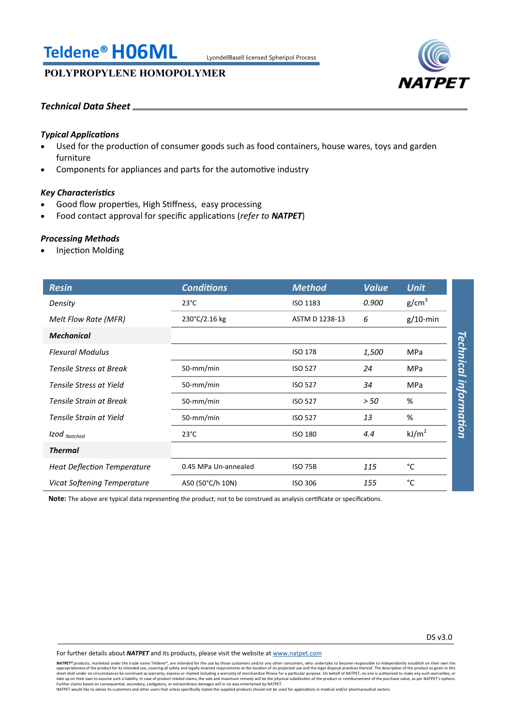# **Teldene®H06ML** LyondellBasell licensed Spheripol Process

# **POLYPROPYLENE HOMOPOLYMER**



# *Technical Data Sheet*

# *Typical Applications*

- Used for the production of consumer goods such as food containers, house wares, toys and garden furniture
- Components for appliances and parts for the automotive industry

# *Key Characteristics*

- Good flow properties, High Stiffness, easy processing
- Food contact approval for specific applications (*refer to NATPET*)

### *Processing Methods*

Injection Molding

| <b>Resin</b>                       | <b>Conditions</b>    | <b>Method</b>  | <b>Value</b> | <b>Unit</b>             |
|------------------------------------|----------------------|----------------|--------------|-------------------------|
| Density                            | $23^{\circ}$ C       | ISO 1183       | 0.900        | g/cm <sup>3</sup>       |
| Melt Flow Rate (MFR)               | 230°C/2.16 kg        | ASTM D 1238-13 | 6            | $g/10$ -min             |
| <b>Mechanical</b>                  |                      |                |              |                         |
| <b>Flexural Modulus</b>            |                      | <b>ISO 178</b> | 1,500        | MPa                     |
| <b>Tensile Stress at Break</b>     | 50-mm/min            | <b>ISO 527</b> | 24           | Technical<br><b>MPa</b> |
| Tensile Stress at Yield            | 50-mm/min            | <b>ISO 527</b> | 34           | <b>MPa</b>              |
| Tensile Strain at Break            | 50-mm/min            | <b>ISO 527</b> | > 50         | information<br>%        |
| Tensile Strain at Yield            | 50-mm/min            | <b>ISO 527</b> | 13           | %                       |
| Izod Notched                       | $23^{\circ}$ C       | <b>ISO 180</b> | 4.4          | kJ/m <sup>2</sup>       |
| <b>Thermal</b>                     |                      |                |              |                         |
| <b>Heat Deflection Temperature</b> | 0.45 MPa Un-annealed | <b>ISO 75B</b> | 115          | °C                      |
| Vicat Softening Temperature        | A50 (50°C/h 10N)     | <b>ISO 306</b> | 155          | °C                      |

**Note:** The above are typical data representing the product; not to be construed as analysis certificate or specifications.

For further details about *NATPET* and its products, please visit the website at [www.natpet.com](http://www.natpet.com)

**NATPET®** products, marketed under the trade name Teldene®, are intended for the use by those customers and/or any other consumers, who undertake to become responsible to independently establish on their own the trade name